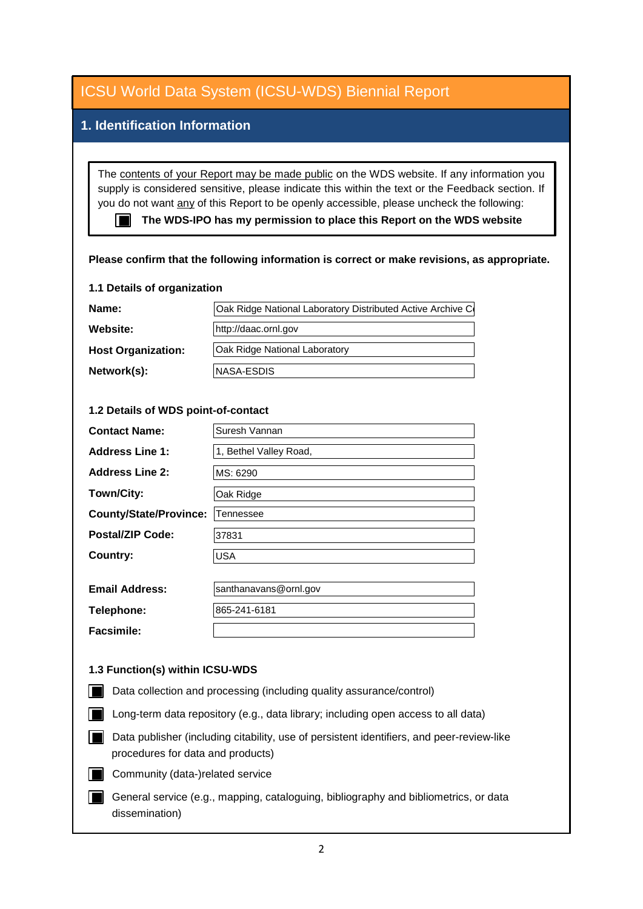## **1. Identification Information**

The contents of your Report may be made public on the WDS website. If any information you supply is considered sensitive, please indicate this within the text or the Feedback section. If you do not want any of this Report to be openly accessible, please uncheck the following:

■ The WDS-IPO has my permission to place this Report on the WDS website

#### **Please confirm that the following information is correct or make revisions, as appropriate.**

#### **1.1 Details of organization**

| Name:                     | Oak Ridge National Laboratory Distributed Active Archive Co |
|---------------------------|-------------------------------------------------------------|
| Website:                  | http://daac.ornl.gov                                        |
| <b>Host Organization:</b> | <b>Oak Ridge National Laboratory</b>                        |
| Network(s):               | INASA-ESDIS                                                 |

#### **1.2 Details of WDS point-of-contact**

| <b>Contact Name:</b>          | Suresh Vannan          |
|-------------------------------|------------------------|
| <b>Address Line 1:</b>        | 1, Bethel Valley Road, |
| <b>Address Line 2:</b>        | MS: 6290               |
| Town/City:                    | Oak Ridge              |
| <b>County/State/Province:</b> | Tennessee              |
| <b>Postal/ZIP Code:</b>       | 37831                  |
| Country:                      | <b>USA</b>             |
|                               |                        |
| <b>Email Address:</b>         | santhanavans@ornl.gov  |
| Telephone:                    | 865-241-6181           |

**Facsimile:**

#### **1.3 Function(s) within ICSU-WDS**

- Data collection and processing (including quality assurance/control)
- Long-term data repository (e.g., data library; including open access to all data)
- Data publisher (including citability, use of persistent identifiers, and peer-review-like procedures for data and products)
- Community (data-)related service
- General service (e.g., mapping, cataloguing, bibliography and bibliometrics, or data dissemination)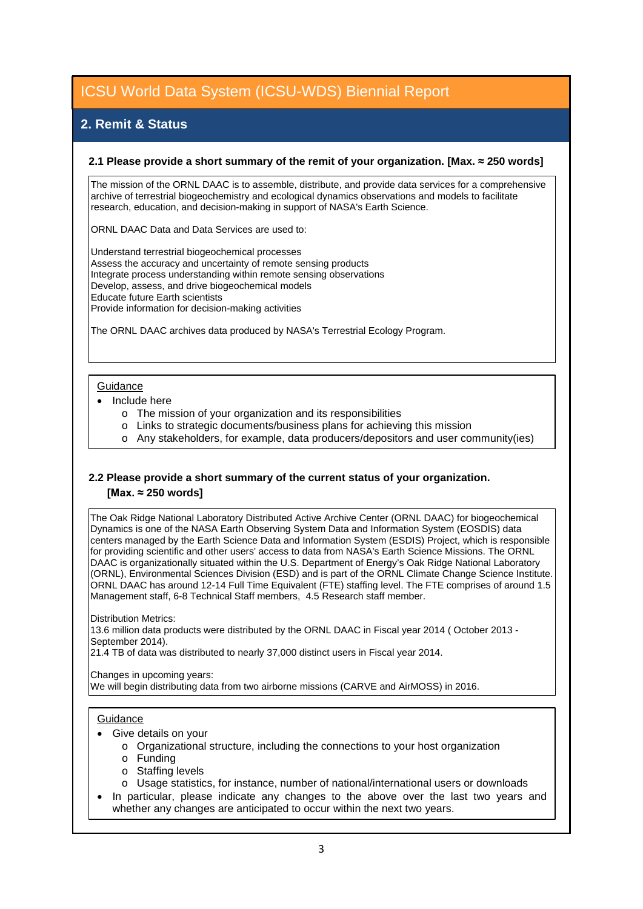## **2. Remit & Status**

#### **2.1 Please provide a short summary of the remit of your organization. [Max. ≈ 250 words]**

The mission of the ORNL DAAC is to assemble, distribute, and provide data services for a comprehensive archive of terrestrial biogeochemistry and ecological dynamics observations and models to facilitate research, education, and decision-making in support of NASA's Earth Science.

ORNL DAAC Data and Data Services are used to:

Understand terrestrial biogeochemical processes Assess the accuracy and uncertainty of remote sensing products Integrate process understanding within remote sensing observations Develop, assess, and drive biogeochemical models Educate future Earth scientists Provide information for decision-making activities

The ORNL DAAC archives data produced by NASA's Terrestrial Ecology Program.

#### **Guidance**

- Include here
	- o The mission of your organization and its responsibilities
	- o Links to strategic documents/business plans for achieving this mission
	- o Any stakeholders, for example, data producers/depositors and user community(ies)

### **2.2 Please provide a short summary of the current status of your organization. [Max. ≈ 250 words]**

The Oak Ridge National Laboratory Distributed Active Archive Center (ORNL DAAC) for biogeochemical Dynamics is one of the NASA Earth Observing System Data and Information System (EOSDIS) data centers managed by the Earth Science Data and Information System (ESDIS) Project, which is responsible for providing scientific and other users' access to data from NASA's Earth Science Missions. The ORNL DAAC is organizationally situated within the U.S. Department of Energy's Oak Ridge National Laboratory (ORNL), Environmental Sciences Division (ESD) and is part of the ORNL Climate Change Science Institute. ORNL DAAC has around 12-14 Full Time Equivalent (FTE) staffing level. The FTE comprises of around 1.5 Management staff, 6-8 Technical Staff members, 4.5 Research staff member.

Distribution Metrics: 13.6 million data products were distributed by the ORNL DAAC in Fiscal year 2014 ( October 2013 - September 2014).

21.4 TB of data was distributed to nearly 37,000 distinct users in Fiscal year 2014.

#### Changes in upcoming years:

We will begin distributing data from two airborne missions (CARVE and AirMOSS) in 2016.

#### **Guidance**

- Give details on your
	- o Organizational structure, including the connections to your host organization
	- o Funding
	- o Staffing levels
	- o Usage statistics, for instance, number of national/international users or downloads
- In particular, please indicate any changes to the above over the last two years and whether any changes are anticipated to occur within the next two years.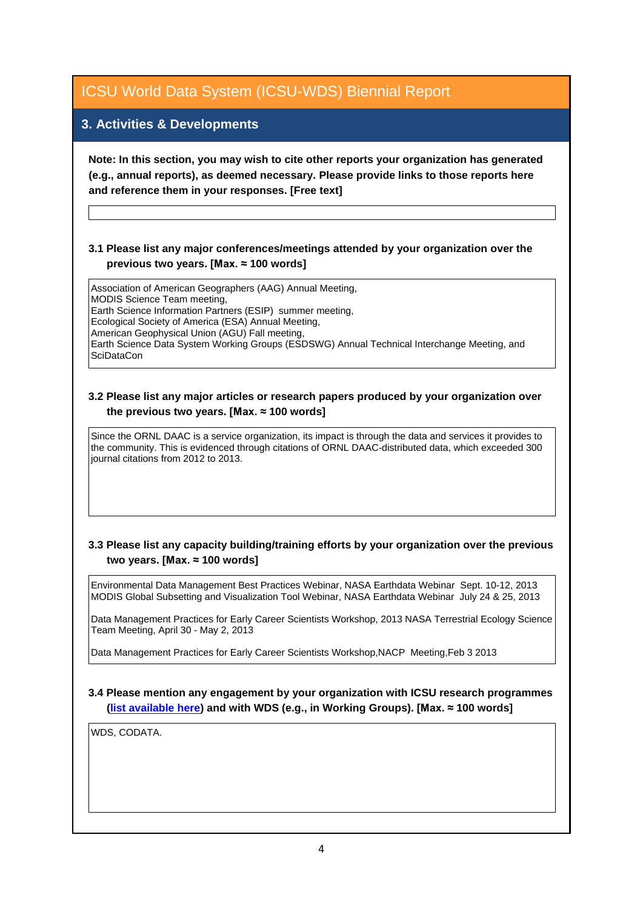## **3. Activities & Developments**

**Note: In this section, you may wish to cite other reports your organization has generated (e.g., annual reports), as deemed necessary. Please provide links to those reports here and reference them in your responses. [Free text]**

### **3.1 Please list any major conferences/meetings attended by your organization over the previous two years. [Max. ≈ 100 words]**

Association of American Geographers (AAG) Annual Meeting, MODIS Science Team meeting, Earth Science Information Partners (ESIP) summer meeting, Ecological Society of America (ESA) Annual Meeting, American Geophysical Union (AGU) Fall meeting, Earth Science Data System Working Groups (ESDSWG) Annual Technical Interchange Meeting, and **SciDataCon** 

#### **3.2 Please list any major articles or research papers produced by your organization over the previous two years. [Max. ≈ 100 words]**

Since the ORNL DAAC is a service organization, its impact is through the data and services it provides to the community. This is evidenced through citations of ORNL DAAC-distributed data, which exceeded 300 journal citations from 2012 to 2013.

### **3.3 Please list any capacity building/training efforts by your organization over the previous two years. [Max. ≈ 100 words]**

Environmental Data Management Best Practices Webinar, NASA Earthdata Webinar Sept. 10-12, 2013 MODIS Global Subsetting and Visualization Tool Webinar, NASA Earthdata Webinar July 24 & 25, 2013

Data Management Practices for Early Career Scientists Workshop, 2013 NASA Terrestrial Ecology Science Team Meeting, April 30 - May 2, 2013

Data Management Practices for Early Career Scientists Workshop,NACP Meeting,Feb 3 2013

#### **3.4 Please mention any engagement by your organization with ICSU research programmes [\(list available here\)](http://www.icsu.org/what-we-do/@@category_search?path=/icsu/what-we-do&Subject:list=International%20Research%20Collaboration) and with WDS (e.g., in Working Groups). [Max. ≈ 100 words]**

WDS, CODATA.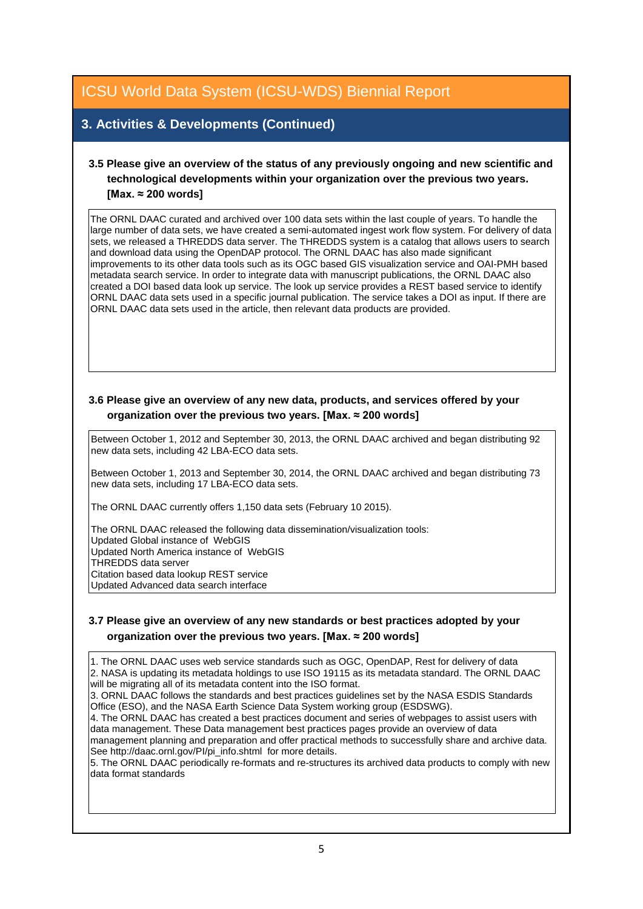## **3. Activities & Developments (Continued)**

## **3.5 Please give an overview of the status of any previously ongoing and new scientific and technological developments within your organization over the previous two years. [Max. ≈ 200 words]**

The ORNL DAAC curated and archived over 100 data sets within the last couple of years. To handle the large number of data sets, we have created a semi-automated ingest work flow system. For delivery of data sets, we released a THREDDS data server. The THREDDS system is a catalog that allows users to search and download data using the OpenDAP protocol. The ORNL DAAC has also made significant improvements to its other data tools such as its OGC based GIS visualization service and OAI-PMH based metadata search service. In order to integrate data with manuscript publications, the ORNL DAAC also created a DOI based data look up service. The look up service provides a REST based service to identify ORNL DAAC data sets used in a specific journal publication. The service takes a DOI as input. If there are ORNL DAAC data sets used in the article, then relevant data products are provided.

### **3.6 Please give an overview of any new data, products, and services offered by your organization over the previous two years. [Max. ≈ 200 words]**

Between October 1, 2012 and September 30, 2013, the ORNL DAAC archived and began distributing 92 new data sets, including 42 LBA-ECO data sets.

Between October 1, 2013 and September 30, 2014, the ORNL DAAC archived and began distributing 73 new data sets, including 17 LBA-ECO data sets.

The ORNL DAAC currently offers 1,150 data sets (February 10 2015).

The ORNL DAAC released the following data dissemination/visualization tools: Updated Global instance of WebGIS Updated North America instance of WebGIS THREDDS data server Citation based data lookup REST service Updated Advanced data search interface

### **3.7 Please give an overview of any new standards or best practices adopted by your organization over the previous two years. [Max. ≈ 200 words]**

1. The ORNL DAAC uses web service standards such as OGC, OpenDAP, Rest for delivery of data 2. NASA is updating its metadata holdings to use ISO 19115 as its metadata standard. The ORNL DAAC will be migrating all of its metadata content into the ISO format. 3. ORNL DAAC follows the standards and best practices guidelines set by the NASA ESDIS Standards Office (ESO), and the NASA Earth Science Data System working group (ESDSWG). 4. The ORNL DAAC has created a best practices document and series of webpages to assist users with data management. These Data management best practices pages provide an overview of data management planning and preparation and offer practical methods to successfully share and archive data. See http://daac.ornl.gov/PI/pi\_info.shtml for more details.

5. The ORNL DAAC periodically re-formats and re-structures its archived data products to comply with new data format standards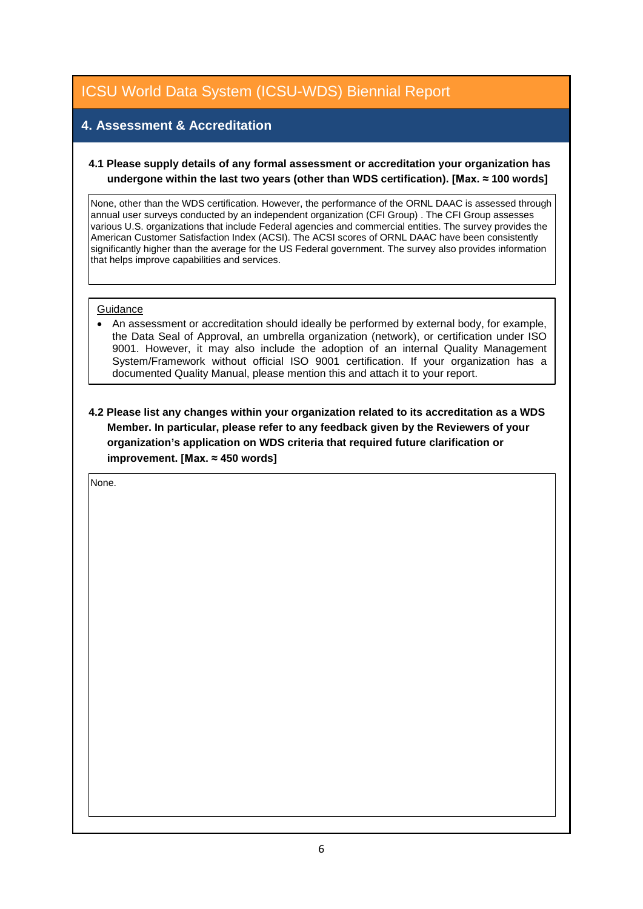## **4. Assessment & Accreditation**

#### **4.1 Please supply details of any formal assessment or accreditation your organization has undergone within the last two years (other than WDS certification). [Max. ≈ 100 words]**

None, other than the WDS certification. However, the performance of the ORNL DAAC is assessed through annual user surveys conducted by an independent organization (CFI Group) . The CFI Group assesses various U.S. organizations that include Federal agencies and commercial entities. The survey provides the American Customer Satisfaction Index (ACSI). The ACSI scores of ORNL DAAC have been consistently significantly higher than the average for the US Federal government. The survey also provides information that helps improve capabilities and services.

#### **Guidance**

• An assessment or accreditation should ideally be performed by external body, for example, the Data Seal of Approval, an umbrella organization (network), or certification under ISO 9001. However, it may also include the adoption of an internal Quality Management System/Framework without official ISO 9001 certification. If your organization has a documented Quality Manual, please mention this and attach it to your report.

**4.2 Please list any changes within your organization related to its accreditation as a WDS Member. In particular, please refer to any feedback given by the Reviewers of your organization's application on WDS criteria that required future clarification or improvement. [Max. ≈ 450 words]**

None.